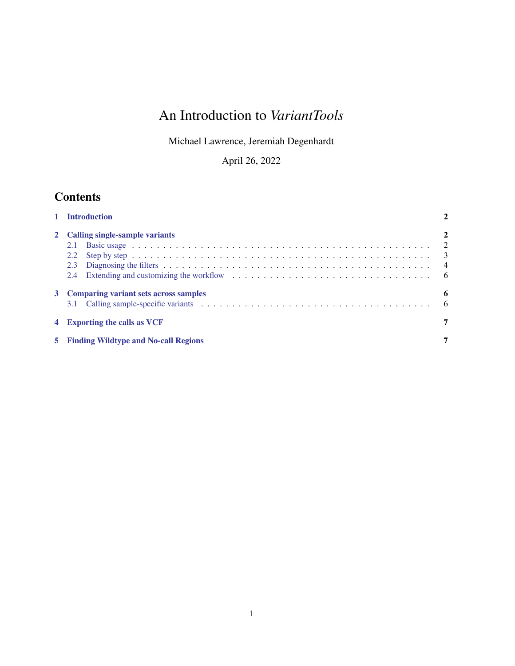# An Introduction to *VariantTools*

Michael Lawrence, Jeremiah Degenhardt

April 26, 2022

## **Contents**

| 1 Introduction                                               |   |
|--------------------------------------------------------------|---|
| 2 Calling single-sample variants<br>2.1<br>2.2<br>2.3<br>2.4 | 2 |
| 3 Comparing variant sets across samples                      | 6 |
| 4 Exporting the calls as VCF                                 |   |
| <b>Finding Wildtype and No-call Regions</b>                  |   |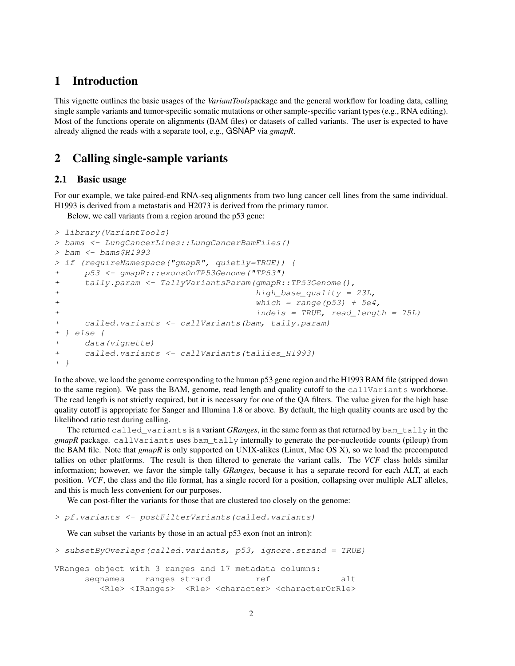## <span id="page-1-0"></span>1 Introduction

This vignette outlines the basic usages of the *VariantTools*package and the general workflow for loading data, calling single sample variants and tumor-specific somatic mutations or other sample-specific variant types (e.g., RNA editing). Most of the functions operate on alignments (BAM files) or datasets of called variants. The user is expected to have already aligned the reads with a separate tool, e.g., GSNAP via *gmapR*.

## <span id="page-1-1"></span>2 Calling single-sample variants

#### <span id="page-1-2"></span>2.1 Basic usage

For our example, we take paired-end RNA-seq alignments from two lung cancer cell lines from the same individual. H1993 is derived from a metastatis and H2073 is derived from the primary tumor.

Below, we call variants from a region around the p53 gene:

```
> library(VariantTools)
> bams <- LungCancerLines::LungCancerBamFiles()
> bam <- bams$H1993
> if (requireNamespace("gmapR", quietly=TRUE)) {
+ p53 <- gmapR:::exonsOnTP53Genome("TP53")
+ tally.param <- TallyVariantsParam(gmapR::TP53Genome(),
+ high_base_quality = 23L,
+ which = range(p53) + 5e4,
+ indels = TRUE, read_length = 75L)
+ called.variants <- callVariants(bam, tally.param)
+ } else {
+ data(vignette)
+ called.variants <- callVariants(tallies_H1993)
+ }
```
In the above, we load the genome corresponding to the human p53 gene region and the H1993 BAM file (stripped down to the same region). We pass the BAM, genome, read length and quality cutoff to the callVariants workhorse. The read length is not strictly required, but it is necessary for one of the QA filters. The value given for the high base quality cutoff is appropriate for Sanger and Illumina 1.8 or above. By default, the high quality counts are used by the likelihood ratio test during calling.

The returned called\_variants is a variant *GRanges*, in the same form as that returned by bam\_tally in the *gmapR* package. callVariants uses bam\_tally internally to generate the per-nucleotide counts (pileup) from the BAM file. Note that *gmapR* is only supported on UNIX-alikes (Linux, Mac OS X), so we load the precomputed tallies on other platforms. The result is then filtered to generate the variant calls. The *VCF* class holds similar information; however, we favor the simple tally *GRanges*, because it has a separate record for each ALT, at each position. *VCF*, the class and the file format, has a single record for a position, collapsing over multiple ALT alleles, and this is much less convenient for our purposes.

We can post-filter the variants for those that are clustered too closely on the genome:

> pf.variants <- postFilterVariants(called.variants)

We can subset the variants by those in an actual p53 exon (not an intron):

```
> subsetByOverlaps(called.variants, p53, ignore.strand = TRUE)
VRanges object with 3 ranges and 17 metadata columns:
     seqnames ranges strand ref alt
        <Rle> <IRanges> <Rle> <character> <characterOrRle>
```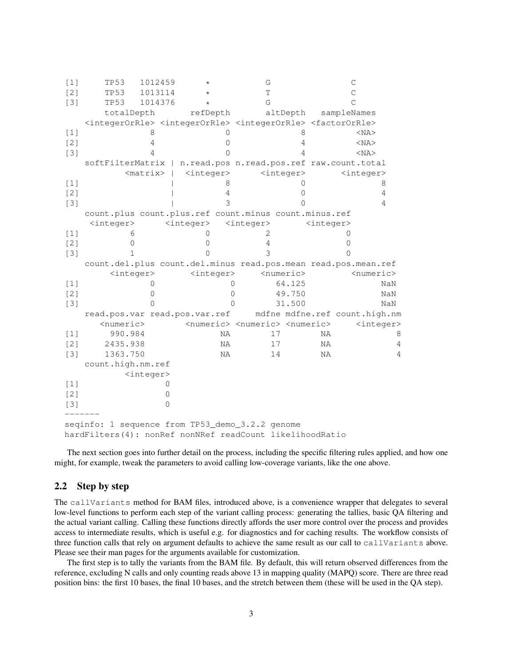| [1]               | <b>TP53</b>                                                                                                           | 1012459             | $^{\star}$          |                  | G                                                           |                     |                     | $\mathsf C$        |                               |
|-------------------|-----------------------------------------------------------------------------------------------------------------------|---------------------|---------------------|------------------|-------------------------------------------------------------|---------------------|---------------------|--------------------|-------------------------------|
| $\lceil 2 \rceil$ | <b>TP53</b>                                                                                                           | 1013114             | $^\star$            |                  | T                                                           |                     |                     | $\mathcal{C}$      |                               |
| $[3]$             | <b>TP53</b>                                                                                                           | 1014376             | $\star$             |                  | G                                                           |                     |                     | C                  |                               |
|                   | totalDepth                                                                                                            |                     | refDepth            |                  |                                                             | altDepth            |                     | sampleNames        |                               |
|                   | <integerorrle> <integerorrle> <integerorrle> <factororrle></factororrle></integerorrle></integerorrle></integerorrle> |                     |                     |                  |                                                             |                     |                     |                    |                               |
| $[1]$             |                                                                                                                       | 8                   |                     | 0                |                                                             | 8                   |                     |                    | $<$ NA $>$                    |
| [2]               |                                                                                                                       | 4                   |                     | Ω                |                                                             | 4                   |                     |                    | $<$ NA $>$                    |
| $[3]$             |                                                                                                                       | 4                   |                     | $\left( \right)$ |                                                             | 4                   |                     |                    | $<$ NA $>$                    |
|                   | softFilterMatrix   n.read.pos n.read.pos.ref raw.count.total                                                          |                     |                     |                  |                                                             |                     |                     |                    |                               |
|                   |                                                                                                                       | $<$ matrix>         | <integer></integer> |                  |                                                             | <integer></integer> |                     | $\langle$ integer> |                               |
| $[1]$             |                                                                                                                       |                     |                     | 8                |                                                             | 0                   |                     |                    | 8                             |
| $[2]$             |                                                                                                                       |                     |                     | 4                |                                                             | 0                   |                     |                    | 4                             |
| $[3]$             |                                                                                                                       |                     |                     | 3                |                                                             | ∩                   |                     |                    | 4                             |
|                   | count.plus count.plus.ref count.minus count.minus.ref                                                                 |                     |                     |                  |                                                             |                     |                     |                    |                               |
|                   | <integer></integer>                                                                                                   |                     | <integer></integer> |                  | <integer></integer>                                         |                     | <integer></integer> |                    |                               |
| [1]               | 6                                                                                                                     |                     |                     |                  | 2.                                                          |                     |                     | 0                  |                               |
| [2]               | $\Omega$                                                                                                              |                     | Ω                   |                  | 4                                                           |                     |                     | 0                  |                               |
| $[3]$             | 1                                                                                                                     |                     |                     |                  | 3                                                           |                     |                     |                    |                               |
|                   | count.del.plus count.del.minus read.pos.mean read.pos.mean.ref                                                        |                     |                     |                  |                                                             |                     |                     |                    |                               |
|                   | <integer></integer>                                                                                                   |                     | $\langle$ integer>  |                  |                                                             | <numeric></numeric> |                     |                    | <numeric></numeric>           |
| [1]               |                                                                                                                       | 0                   |                     | $\Omega$         |                                                             | 64.125              |                     |                    | NaN                           |
| [2]               |                                                                                                                       | 0                   |                     | $\Omega$         |                                                             | 49.750              |                     |                    | NaN                           |
| $\lceil 3 \rceil$ |                                                                                                                       | Ω                   |                     | $\Omega$         |                                                             | 31.500              |                     |                    | NaN                           |
|                   | read.pos.var read.pos.var.ref                                                                                         |                     |                     |                  |                                                             |                     |                     |                    | mdfne mdfne.ref count.high.nm |
|                   | <numeric></numeric>                                                                                                   |                     |                     |                  | <numeric> <numeric> <numeric></numeric></numeric></numeric> |                     |                     |                    | <integer></integer>           |
| $[1]$             | 990.984                                                                                                               |                     |                     | NA               | $17$                                                        |                     | NA                  |                    | 8                             |
| $[2]$             | 2435.938                                                                                                              |                     |                     | NA               | 17                                                          |                     | ΝA                  |                    | 4                             |
| $\lceil 3 \rceil$ | 1363.750                                                                                                              |                     |                     | NA               | 14                                                          |                     | ΝA                  |                    | 4                             |
|                   | count.high.nm.ref                                                                                                     |                     |                     |                  |                                                             |                     |                     |                    |                               |
|                   |                                                                                                                       | <integer></integer> |                     |                  |                                                             |                     |                     |                    |                               |
| $\lceil 1 \rceil$ |                                                                                                                       | 0                   |                     |                  |                                                             |                     |                     |                    |                               |
| [2]               |                                                                                                                       | 0                   |                     |                  |                                                             |                     |                     |                    |                               |
| [3]               |                                                                                                                       | $\Omega$            |                     |                  |                                                             |                     |                     |                    |                               |
|                   | seqinfo: 1 sequence from TP53_demo_3.2.2 genome<br>hardFilters(4): nonRef nonNRef readCount likelihoodRatio           |                     |                     |                  |                                                             |                     |                     |                    |                               |

The next section goes into further detail on the process, including the specific filtering rules applied, and how one might, for example, tweak the parameters to avoid calling low-coverage variants, like the one above.

#### <span id="page-2-0"></span>2.2 Step by step

The callVariants method for BAM files, introduced above, is a convenience wrapper that delegates to several low-level functions to perform each step of the variant calling process: generating the tallies, basic QA filtering and the actual variant calling. Calling these functions directly affords the user more control over the process and provides access to intermediate results, which is useful e.g. for diagnostics and for caching results. The workflow consists of three function calls that rely on argument defaults to achieve the same result as our call to callVariants above. Please see their man pages for the arguments available for customization.

The first step is to tally the variants from the BAM file. By default, this will return observed differences from the reference, excluding N calls and only counting reads above 13 in mapping quality (MAPQ) score. There are three read position bins: the first 10 bases, the final 10 bases, and the stretch between them (these will be used in the QA step).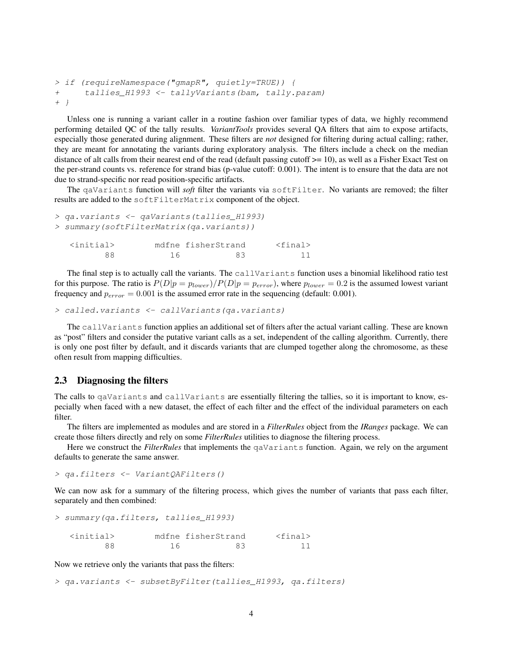```
> if (requireNamespace("gmapR", quietly=TRUE)) {
+ tallies_H1993 <- tallyVariants(bam, tally.param)
+ }
```
Unless one is running a variant caller in a routine fashion over familiar types of data, we highly recommend performing detailed QC of the tally results. *VariantTools* provides several QA filters that aim to expose artifacts, especially those generated during alignment. These filters are *not* designed for filtering during actual calling; rather, they are meant for annotating the variants during exploratory analysis. The filters include a check on the median distance of alt calls from their nearest end of the read (default passing cutoff >= 10), as well as a Fisher Exact Test on the per-strand counts vs. reference for strand bias (p-value cutoff: 0.001). The intent is to ensure that the data are not due to strand-specific nor read position-specific artifacts.

The qaVariants function will *soft* filter the variants via softFilter. No variants are removed; the filter results are added to the softFilterMatrix component of the object.

```
> qa.variants <- qaVariants(tallies_H1993)
> summary(softFilterMatrix(qa.variants))
  <initial> mdfne fisherStrand <final>
       88 16 83 11
```
The final step is to actually call the variants. The callVariants function uses a binomial likelihood ratio test for this purpose. The ratio is  $P(D|p = p_{lower})/P(D|p = p_{error})$ , where  $p_{lower} = 0.2$  is the assumed lowest variant frequency and  $p_{error} = 0.001$  is the assumed error rate in the sequencing (default: 0.001).

```
> called.variants <- callVariants(qa.variants)
```
The callVariants function applies an additional set of filters after the actual variant calling. These are known as "post" filters and consider the putative variant calls as a set, independent of the calling algorithm. Currently, there is only one post filter by default, and it discards variants that are clumped together along the chromosome, as these often result from mapping difficulties.

#### <span id="page-3-0"></span>2.3 Diagnosing the filters

The calls to qaVariants and callVariants are essentially filtering the tallies, so it is important to know, especially when faced with a new dataset, the effect of each filter and the effect of the individual parameters on each filter.

The filters are implemented as modules and are stored in a *FilterRules* object from the *IRanges* package. We can create those filters directly and rely on some *FilterRules* utilities to diagnose the filtering process.

Here we construct the *FilterRules* that implements the qaVariants function. Again, we rely on the argument defaults to generate the same answer.

> qa.filters <- VariantQAFilters()

We can now ask for a summary of the filtering process, which gives the number of variants that pass each filter, separately and then combined:

```
> summary(qa.filters, tallies_H1993)
 <initial> mdfne fisherStrand <final>
      88 16 83 11
```
Now we retrieve only the variants that pass the filters:

> qa.variants <- subsetByFilter(tallies\_H1993, qa.filters)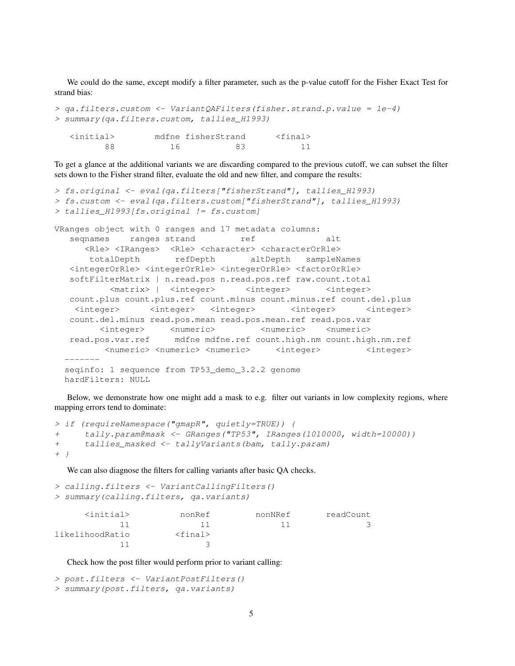We could do the same, except modify a filter parameter, such as the p-value cutoff for the Fisher Exact Test for strand bias:

```
> qa.filters.custom <- VariantQAFilters(fisher.strand.p.value = 1e-4)
> summary(qa.filters.custom, tallies_H1993)
  <initial> mdfne fisherStrand <final>
       88 16 83 11
```
To get a glance at the additional variants we are discarding compared to the previous cutoff, we can subset the filter sets down to the Fisher strand filter, evaluate the old and new filter, and compare the results:

```
> fs.original <- eval(qa.filters["fisherStrand"], tallies_H1993)
> fs.custom <- eval(qa.filters.custom["fisherStrand"], tallies_H1993)
> tallies_H1993[fs.original != fs.custom]
VRanges object with 0 ranges and 17 metadata columns:
   seqnames ranges strand ref alt
      <Rle> <IRanges> <Rle> <character> <characterOrRle>
       totalDepth refDepth altDepth sampleNames
   <integerOrRle> <integerOrRle> <integerOrRle> <factorOrRle>
   softFilterMatrix | n.read.pos n.read.pos.ref raw.count.total
            <matrix> | <integer> <integer> <integer>
   count.plus count.plus.ref count.minus count.minus.ref count.del.plus
    <integer> <integer> <integer> <integer> <integer>
   count.del.minus read.pos.mean read.pos.mean.ref read.pos.var
         <integer>
<numeric>
<numeric>
<numeric>
<numeric>
<numeric>
<numeric>
<mumeric>
<mumeric>
<mumeric>
<mumeric>
<mumeric>
<mumeric>
<mumeric>
<mumeric>
<mumeric>
<mumeric>
<mumeric>
<mumeric>
<mumeric>
<mumeric>
<mumeric>
<m
   read.pos.var.ref mdfne mdfne.ref count.high.nm count.high.nm.ref
          <numeric> <numeric> <numeric> <integer> <integer>
  seqinfo: 1 sequence from TP53_demo_3.2.2 genome
  hardFilters: NULL
```
Below, we demonstrate how one might add a mask to e.g. filter out variants in low complexity regions, where mapping errors tend to dominate:

```
> if (requireNamespace("gmapR", quietly=TRUE)) {
    tally.param@mask <- GRanges('TP53", IRanges(1010000, width=10000))+ tallies_masked <- tallyVariants(bam, tally.param)
+ }
```
We can also diagnose the filters for calling variants after basic QA checks.

```
> calling.filters <- VariantCallingFilters()
> summary(calling.filters, qa.variants)
   <initial> nonRef nonNRef readCount
       11 11 11 3
likelihoodRatio <final>
        11 3
```
Check how the post filter would perform prior to variant calling:

```
> post.filters <- VariantPostFilters()
> summary(post.filters, qa.variants)
```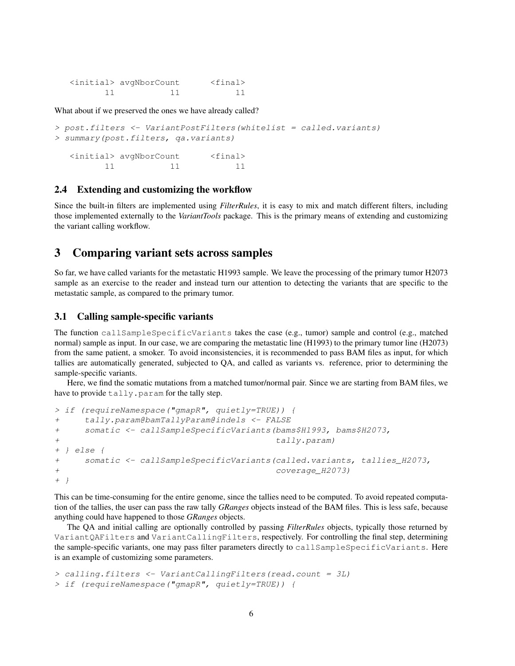| <initial> avqNborCount</initial> | $<$ final> |
|----------------------------------|------------|
|                                  |            |

What about if we preserved the ones we have already called?

```
> post.filters <- VariantPostFilters(whitelist = called.variants)
> summary(post.filters, qa.variants)
  <initial> avgNborCount <final>
        11 11 11
```
#### <span id="page-5-0"></span>2.4 Extending and customizing the workflow

Since the built-in filters are implemented using *FilterRules*, it is easy to mix and match different filters, including those implemented externally to the *VariantTools* package. This is the primary means of extending and customizing the variant calling workflow.

### <span id="page-5-1"></span>3 Comparing variant sets across samples

So far, we have called variants for the metastatic H1993 sample. We leave the processing of the primary tumor H2073 sample as an exercise to the reader and instead turn our attention to detecting the variants that are specific to the metastatic sample, as compared to the primary tumor.

#### <span id="page-5-2"></span>3.1 Calling sample-specific variants

The function callSampleSpecificVariants takes the case (e.g., tumor) sample and control (e.g., matched normal) sample as input. In our case, we are comparing the metastatic line (H1993) to the primary tumor line (H2073) from the same patient, a smoker. To avoid inconsistencies, it is recommended to pass BAM files as input, for which tallies are automatically generated, subjected to QA, and called as variants vs. reference, prior to determining the sample-specific variants.

Here, we find the somatic mutations from a matched tumor/normal pair. Since we are starting from BAM files, we have to provide tally.param for the tally step.

```
> if (requireNamespace("gmapR", quietly=TRUE)) {
+ tally.param@bamTallyParam@indels <- FALSE
+ somatic <- callSampleSpecificVariants(bams$H1993, bams$H2073,
+ tally.param)
+ } else {
+ somatic <- callSampleSpecificVariants(called.variants, tallies_H2073,
+ coverage_H2073)
+ }
```
This can be time-consuming for the entire genome, since the tallies need to be computed. To avoid repeated computation of the tallies, the user can pass the raw tally *GRanges* objects instead of the BAM files. This is less safe, because anything could have happened to those *GRanges* objects.

The QA and initial calling are optionally controlled by passing *FilterRules* objects, typically those returned by VariantQAFilters and VariantCallingFilters, respectively. For controlling the final step, determining the sample-specific variants, one may pass filter parameters directly to callSampleSpecificVariants. Here is an example of customizing some parameters.

```
> calling.filters <- VariantCallingFilters(read.count = 3L)
> if (requireNamespace("gmapR", quietly=TRUE)) {
```